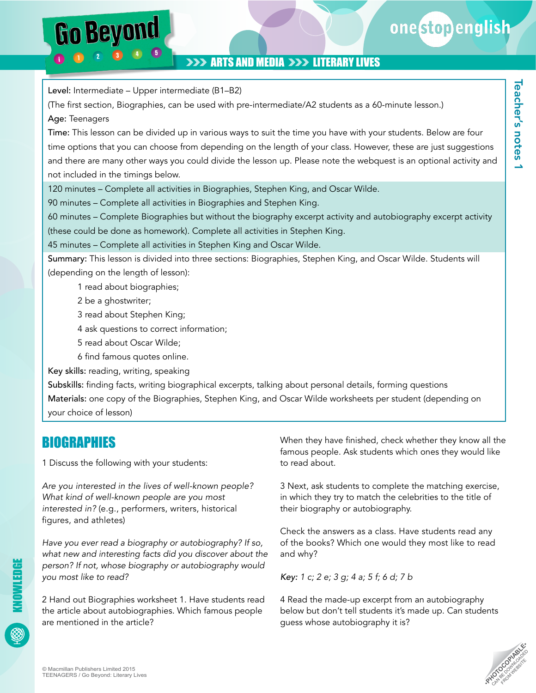## **>>> ARTS AND MEDIA >>> LITERARY LIVES**

Level: Intermediate – Upper intermediate (B1–B2)

Go Beyond

(The first section, Biographies, can be used with pre-intermediate/A2 students as a 60-minute lesson.) Age: Teenagers

Time: This lesson can be divided up in various ways to suit the time you have with your students. Below are four time options that you can choose from depending on the length of your class. However, these are just suggestions and there are many other ways you could divide the lesson up. Please note the webquest is an optional activity and not included in the timings below.

120 minutes – Complete all activities in Biographies, Stephen King, and Oscar Wilde.

90 minutes – Complete all activities in Biographies and Stephen King.

60 minutes – Complete Biographies but without the biography excerpt activity and autobiography excerpt activity (these could be done as homework). Complete all activities in Stephen King.

45 minutes – Complete all activities in Stephen King and Oscar Wilde.

Summary: This lesson is divided into three sections: Biographies, Stephen King, and Oscar Wilde. Students will (depending on the length of lesson):

1 read about biographies;

- 2 be a ghostwriter;
- 3 read about Stephen King;
- 4 ask questions to correct information;
- 5 read about Oscar Wilde;
- 6 find famous quotes online.

Key skills: reading, writing, speaking

Subskills: finding facts, writing biographical excerpts, talking about personal details, forming questions Materials: one copy of the Biographies, Stephen King, and Oscar Wilde worksheets per student (depending on your choice of lesson)

## BIOGRAPHIES

1 Discuss the following with your students:

*Are you interested in the lives of well-known people? What kind of well-known people are you most interested in?* (e.g., performers, writers, historical figures, and athletes)

*Have you ever read a biography or autobiography? If so, what new and interesting facts did you discover about the person? If not, whose biography or autobiography would you most like to read?*

2 Hand out Biographies worksheet 1. Have students read the article about autobiographies. Which famous people are mentioned in the article?

When they have finished, check whether they know all the famous people. Ask students which ones they would like to read about.

3 Next, ask students to complete the matching exercise, in which they try to match the celebrities to the title of their biography or autobiography.

Check the answers as a class. Have students read any of the books? Which one would they most like to read and why?

*Key: 1 c; 2 e; 3 g; 4 a; 5 f; 6 d; 7 b*

4 Read the made-up excerpt from an autobiography below but don't tell students it's made up. Can students guess whose autobiography it is?



KNOWLEDGE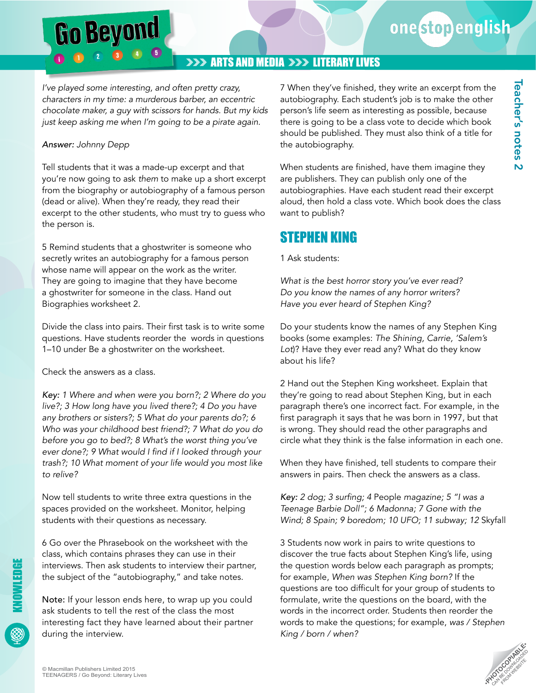Teacher's notes 2

 $\overline{\mathsf{N}}$ 

Teacher's notes

### **>>> ARTS AND MEDIA >>> LITERARY LIVES**

*I've played some interesting, and often pretty crazy, characters in my time: a murderous barber, an eccentric chocolate maker, a guy with scissors for hands. But my kids just keep asking me when I'm going to be a pirate again.* 

#### *Answer: Johnny Depp*

**Go Beyond** 

Tell students that it was a made-up excerpt and that you're now going to ask *them* to make up a short excerpt from the biography or autobiography of a famous person (dead or alive). When they're ready, they read their excerpt to the other students, who must try to guess who the person is.

5 Remind students that a ghostwriter is someone who secretly writes an autobiography for a famous person whose name will appear on the work as the writer. They are going to imagine that they have become a ghostwriter for someone in the class. Hand out Biographies worksheet 2.

Divide the class into pairs. Their first task is to write some questions. Have students reorder the words in questions 1–10 under Be a ghostwriter on the worksheet.

Check the answers as a class.

*Key: 1 Where and when were you born?; 2 Where do you live?; 3 How long have you lived there?; 4 Do you have any brothers or sisters?; 5 What do your parents do?; 6 Who was your childhood best friend?; 7 What do you do before you go to bed?; 8 What's the worst thing you've*  ever done?; 9 What would I find if I looked through your *trash?; 10 What moment of your life would you most like to relive?*

Now tell students to write three extra questions in the spaces provided on the worksheet. Monitor, helping students with their questions as necessary.

6 Go over the Phrasebook on the worksheet with the class, which contains phrases they can use in their interviews. Then ask students to interview their partner, the subject of the "autobiography," and take notes.

Note: If your lesson ends here, to wrap up you could ask students to tell the rest of the class the most interesting fact they have learned about their partner during the interview.

7 When they've finished, they write an excerpt from the autobiography. Each student's job is to make the other person's life seem as interesting as possible, because there is going to be a class vote to decide which book should be published. They must also think of a title for the autobiography.

When students are finished, have them imagine they are publishers. They can publish only one of the autobiographies. Have each student read their excerpt aloud, then hold a class vote. Which book does the class want to publish?

## STEPHEN KING

#### 1 Ask students:

*What is the best horror story you've ever read? Do you know the names of any horror writers? Have you ever heard of Stephen King?*

Do your students know the names of any Stephen King books (some examples: *The Shining, Carrie, 'Salem's Lot*)? Have they ever read any? What do they know about his life?

2 Hand out the Stephen King worksheet. Explain that they're going to read about Stephen King, but in each paragraph there's one incorrect fact. For example, in the first paragraph it says that he was born in 1997, but that is wrong. They should read the other paragraphs and circle what they think is the false information in each one.

When they have finished, tell students to compare their answers in pairs. Then check the answers as a class.

*Key:* 2 dog; 3 surfing; 4 People *magazine; 5 "I was a Teenage Barbie Doll"; 6 Madonna; 7 Gone with the Wind; 8 Spain; 9 boredom; 10 UFO; 11 subway; 12* Skyfall

3 Students now work in pairs to write questions to discover the true facts about Stephen King's life, using the question words below each paragraph as prompts; for example, *When was Stephen King born?* If the questions are too difficult for your group of students to formulate, write the questions on the board, with the words in the incorrect order. Students then reorder the words to make the questions; for example, *was / Stephen King / born / when?*

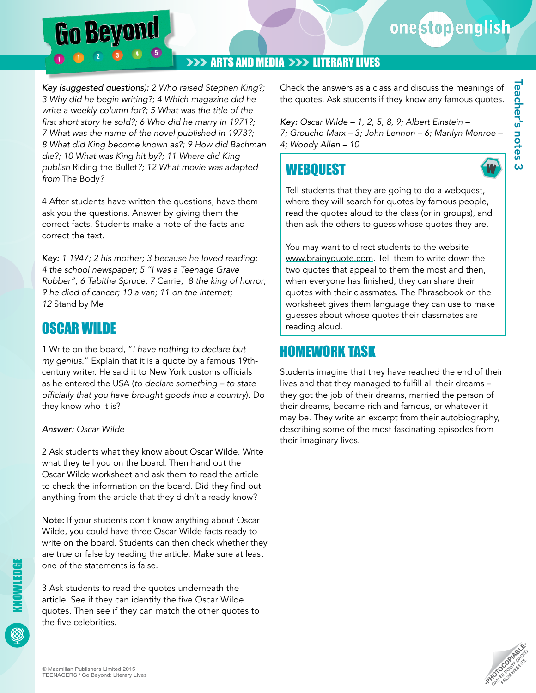*Key (suggested questions): 2 Who raised Stephen King?; 3 Why did he begin writing?; 4 Which magazine did he write a weekly column for?; 5 What was the title of the*  first short story he sold?; 6 Who did he marry in 1971?; *7 What was the name of the novel published in 1973?; 8 What did King become known as?; 9 How did Bachman die?; 10 What was King hit by?; 11 Where did King publish* Riding the Bullet*?; 12 What movie was adapted from* The Body*?*

Go Beyond

4 After students have written the questions, have them ask you the questions. Answer by giving them the correct facts. Students make a note of the facts and correct the text.

*Key: 1 1947; 2 his mother; 3 because he loved reading; 4 the school newspaper; 5 "I was a Teenage Grave Robber"; 6 Tabitha Spruce; 7* Carrie*; 8 the king of horror; 9 he died of cancer; 10 a van; 11 on the internet; 12* Stand by Me

## OSCAR WILDE

1 Write on the board, "*I have nothing to declare but my genius.*" Explain that it is a quote by a famous 19thcentury writer. He said it to New York customs officials as he entered the USA (*to declare something – to state*  officially that you have brought goods into a country). Do they know who it is?

#### *Answer: Oscar Wilde*

2 Ask students what they know about Oscar Wilde. Write what they tell you on the board. Then hand out the Oscar Wilde worksheet and ask them to read the article to check the information on the board. Did they find out anything from the article that they didn't already know?

Note: If your students don't know anything about Oscar Wilde, you could have three Oscar Wilde facts ready to write on the board. Students can then check whether they are true or false by reading the article. Make sure at least one of the statements is false.

3 Ask students to read the quotes underneath the article. See if they can identify the five Oscar Wilde quotes. Then see if they can match the other quotes to the five celebrities.

Check the answers as a class and discuss the meanings of the quotes. Ask students if they know any famous quotes.

*Key: Oscar Wilde – 1, 2, 5, 8, 9; Albert Einstein – 7; Groucho Marx – 3; John Lennon – 6; Marilyn Monroe – 4; Woody Allen – 10* 

**WEBOUEST** 

Tell students that they are going to do a webquest, where they will search for quotes by famous people, read the quotes aloud to the class (or in groups), and then ask the others to guess whose quotes they are.

You may want to direct students to the website <www.brainyquote.com>. Tell them to write down the two quotes that appeal to them the most and then, when everyone has finished, they can share their quotes with their classmates. The Phrasebook on the worksheet gives them language they can use to make guesses about whose quotes their classmates are reading aloud.

## HOMEWORK TASK

Students imagine that they have reached the end of their lives and that they managed to fulfill all their dreams – they got the job of their dreams, married the person of their dreams, became rich and famous, or whatever it may be. They write an excerpt from their autobiography, describing some of the most fascinating episodes from their imaginary lives.



W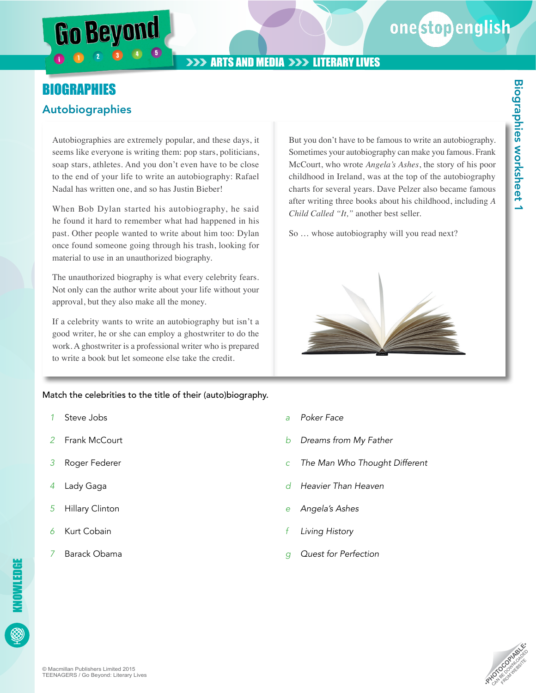## **ARTS AND MEDIA >>> LITERARY LIVES**

## **BIOGRAPHIES** Autobiographies

Autobiographies are extremely popular, and these days, it seems like everyone is writing them: pop stars, politicians, soap stars, athletes. And you don't even have to be close to the end of your life to write an autobiography: Rafael Nadal has written one, and so has Justin Bieber!

When Bob Dylan started his autobiography, he said he found it hard to remember what had happened in his past. Other people wanted to write about him too: Dylan once found someone going through his trash, looking for material to use in an unauthorized biography.

The unauthorized biography is what every celebrity fears. Not only can the author write about your life without your approval, but they also make all the money.

If a celebrity wants to write an autobiography but isn't a good writer, he or she can employ a ghostwriter to do the work. A ghostwriter is a professional writer who is prepared to write a book but let someone else take the credit.

Match the celebrities to the title of their (auto)biography.

- *1* Steve Jobs
- *2* Frank McCourt
- *3* Roger Federer
- *4* Lady Gaga
- *5* Hillary Clinton
- **Kurt Cobain**

KNOWLEDGE

KNOWLEDGE

*7* Barack Obama

- *a Poker Face*
- *b Dreams from My Father*
- *c The Man Who Thought Different*
- *d Heavier Than Heaven*
- *e Angela's Ashes*
- *f Living History*
- *g Quest for Perfection*

*Child Called "It,"* another best seller.

So … whose autobiography will you read next?

But you don't have to be famous to write an autobiography. Sometimes your autobiography can make you famous. Frank McCourt, who wrote *Angela's Ashes*, the story of his poor childhood in Ireland, was at the top of the autobiography charts for several years. Dave Pelzer also became famous after writing three books about his childhood, including *A* 



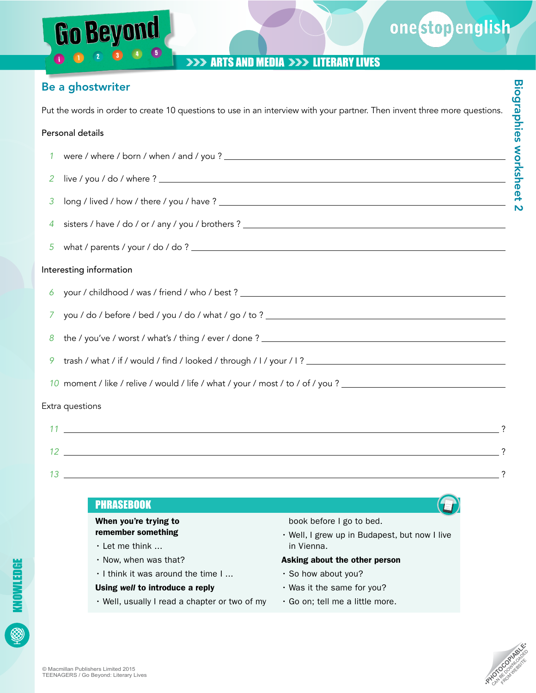### **>>> ARTS AND MEDIA >>> LITERARY LIVES**

### Be a ghostwriter

Go Beyond

Put the words in order to create 10 questions to use in an interview with your partner. Then invent three more questions.

#### Personal details

- *1* were / where / born / when / and / you ?
- *2* live / you / do / where ?
- *3* long / lived / how / there / you / have ?
- *4* sisters / have / do / or / any / you / brothers ?
- *5* what / parents / your / do / do ?

#### Interesting information

- *6* your / childhood / was / friend / who / best ?
- *7* you / do / before / bed / you / do / what / go / to ?
- *8* the / you've / worst / what's / thing / ever / done ?
- *9* trash / what / if / would / find / looked / through / I / your / I ?
- *10* moment / like / relive / would / life / what / your / most / to / of / you ?

#### Extra questions

*11* ? *12* ? *13* ?





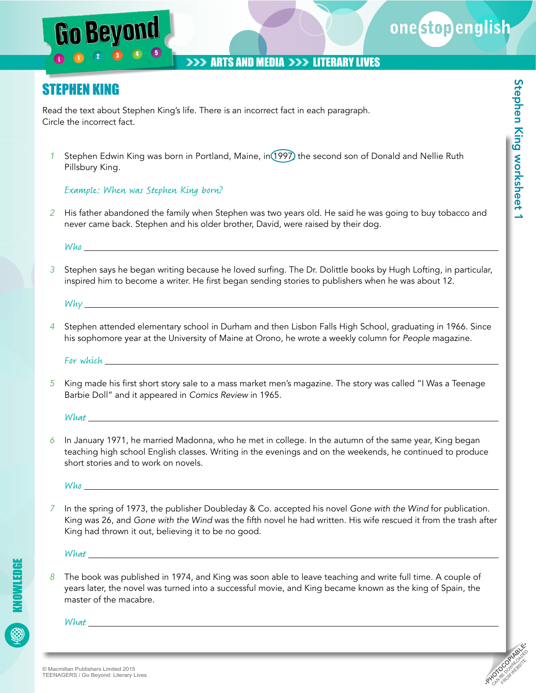## **>>> ARTS AND MEDIA >>> LITERARY LIVES**

## STEPHEN KING

Beyon

Read the text about Stephen King's life. There is an incorrect fact in each paragraph. Circle the incorrect fact.

*1* Stephen Edwin King was born in Portland, Maine, in 1997, the second son of Donald and Nellie Ruth Pillsbury King.

#### Example: When was Stephen King born?

*2* His father abandoned the family when Stephen was two years old. He said he was going to buy tobacco and never came back. Stephen and his older brother, David, were raised by their dog.

Who are not been appropriate the set of the set of the set of the set of the set of the set of the set of the set of the set of the set of the set of the set of the set of the set of the set of the set of the set of the se

*3* Stephen says he began writing because he loved surfing. The Dr. Dolittle books by Hugh Lofting, in particular, inspired him to become a writer. He first began sending stories to publishers when he was about 12.

Why

*4* Stephen attended elementary school in Durham and then Lisbon Falls High School, graduating in 1966. Since his sophomore year at the University of Maine at Orono, he wrote a weekly column for *People* magazine.

For which

*5* King made his first short story sale to a mass market men's magazine. The story was called "I Was a Teenage Barbie Doll" and it appeared in *Comics Review* in 1965.

What

*6* In January 1971, he married Madonna, who he met in college. In the autumn of the same year, King began teaching high school English classes. Writing in the evenings and on the weekends, he continued to produce short stories and to work on novels.

Who has a series of the series of the series of the series of the series of the series of the series of the series of the series of the series of the series of the series of the series of the series of the series of the se

*7* In the spring of 1973, the publisher Doubleday & Co. accepted his novel *Gone with the Wind* for publication. King was 26, and *Gone with the Wind* was the fifth novel he had written. His wife rescued it from the trash after King had thrown it out, believing it to be no good.

What

KNOWLEDGE

*8* The book was published in 1974, and King was soon able to leave teaching and write full time. A couple of years later, the novel was turned into a successful movie, and King became known as the king of Spain, the master of the macabre.

What **What** 

onestopenglish

**PHOTOCOPIABLE COM** WEBSITE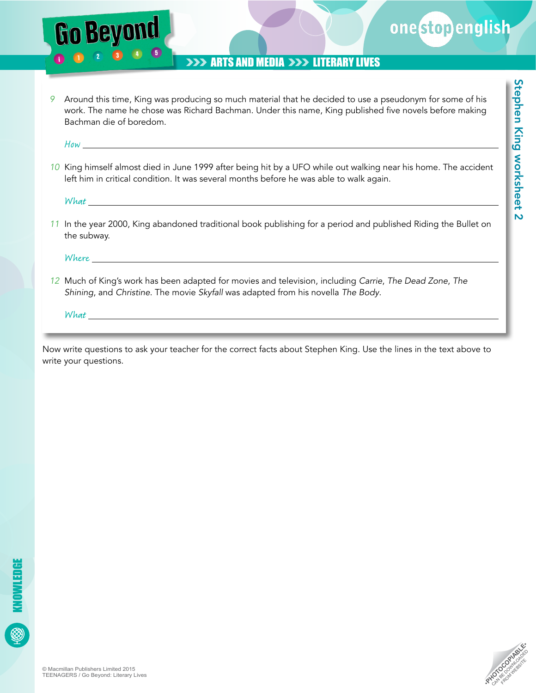

Stephen King worksheet 2

Stephen King worksheet 2

### **>>> ARTS AND MEDIA >>> LITERARY LIVES**

*9* Around this time, King was producing so much material that he decided to use a pseudonym for some of his work. The name he chose was Richard Bachman. Under this name, King published five novels before making Bachman die of boredom.

 $How$ 

**Go Beyon** 

*10* King himself almost died in June 1999 after being hit by a UFO while out walking near his home. The accident left him in critical condition. It was several months before he was able to walk again.

What\_

*11* In the year 2000, King abandoned traditional book publishing for a period and published Riding the Bullet on the subway.

Where

*12* Much of King's work has been adapted for movies and television, including *Carrie*, *The Dead Zone*, *The Shining*, and *Christine*. The movie *Skyfall* was adapted from his novella *The Body*.

 $What_$ 

Now write questions to ask your teacher for the correct facts about Stephen King. Use the lines in the text above to write your questions.

**PHOTOCOPIABLE COM** WEBSITE